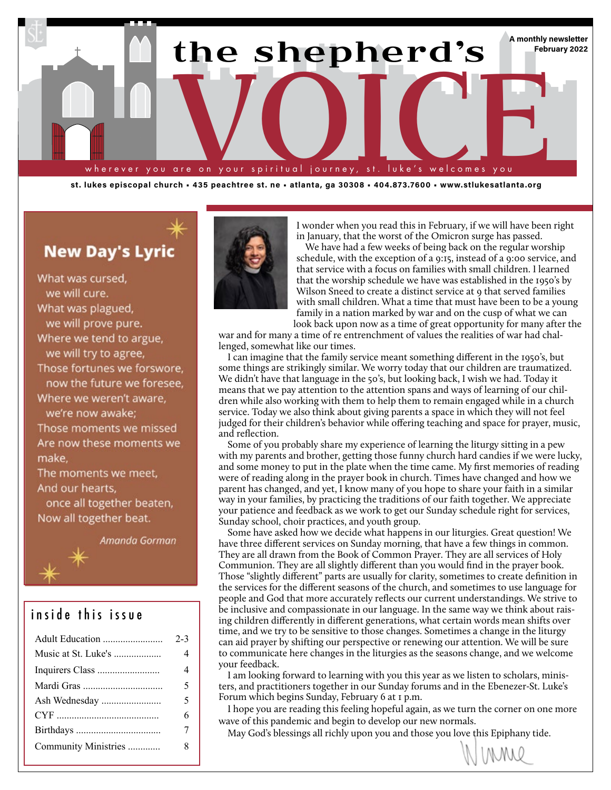

**st. lukes episcopal church • 435 peachtree st. ne • atlanta, ga 30308 • 404.873.7600 • www.stlukesatlanta.org**

## **New Day's Lyric**

What was cursed. we will cure. What was plagued, we will prove pure. Where we tend to argue, we will try to agree, Those fortunes we forswore, now the future we foresee, Where we weren't aware, we're now awake: Those moments we missed Are now these moments we make. The moments we meet, And our hearts, once all together beaten, Now all together beat.

Amanda Gorman

## inside this issue

|                      | $2 - 3$                  |
|----------------------|--------------------------|
| Music at St. Luke's  | 4                        |
|                      | $\overline{\mathcal{L}}$ |
|                      | 5                        |
| Ash Wednesday        | 5                        |
|                      | 6                        |
|                      | 7                        |
| Community Ministries | 8                        |
|                      |                          |



I wonder when you read this in February, if we will have been right in January, that the worst of the Omicron surge has passed.

We have had a few weeks of being back on the regular worship schedule, with the exception of a 9:15, instead of a 9:00 service, and that service with a focus on families with small children. I learned that the worship schedule we have was established in the 1950's by Wilson Sneed to create a distinct service at 9 that served families with small children. What a time that must have been to be a young family in a nation marked by war and on the cusp of what we can look back upon now as a time of great opportunity for many after the

war and for many a time of re entrenchment of values the realities of war had challenged, somewhat like our times.

I can imagine that the family service meant something different in the 1950's, but some things are strikingly similar. We worry today that our children are traumatized. We didn't have that language in the 50's, but looking back, I wish we had. Today it means that we pay attention to the attention spans and ways of learning of our children while also working with them to help them to remain engaged while in a church service. Today we also think about giving parents a space in which they will not feel judged for their children's behavior while offering teaching and space for prayer, music, and reflection.

Some of you probably share my experience of learning the liturgy sitting in a pew with my parents and brother, getting those funny church hard candies if we were lucky, and some money to put in the plate when the time came. My first memories of reading were of reading along in the prayer book in church. Times have changed and how we parent has changed, and yet, I know many of you hope to share your faith in a similar way in your families, by practicing the traditions of our faith together. We appreciate your patience and feedback as we work to get our Sunday schedule right for services, Sunday school, choir practices, and youth group.

Some have asked how we decide what happens in our liturgies. Great question! We have three different services on Sunday morning, that have a few things in common. They are all drawn from the Book of Common Prayer. They are all services of Holy Communion. They are all slightly different than you would find in the prayer book. Those "slightly different" parts are usually for clarity, sometimes to create definition in the services for the different seasons of the church, and sometimes to use language for people and God that more accurately reflects our current understandings. We strive to be inclusive and compassionate in our language. In the same way we think about raising children differently in different generations, what certain words mean shifts over time, and we try to be sensitive to those changes. Sometimes a change in the liturgy can aid prayer by shifting our perspective or renewing our attention. We will be sure to communicate here changes in the liturgies as the seasons change, and we welcome your feedback.

I am looking forward to learning with you this year as we listen to scholars, ministers, and practitioners together in our Sunday forums and in the Ebenezer-St. Luke's Forum which begins Sunday, February 6 at 1 p.m.

I hope you are reading this feeling hopeful again, as we turn the corner on one more wave of this pandemic and begin to develop our new normals.

May God's blessings all richly upon you and those you love this Epiphany tide.

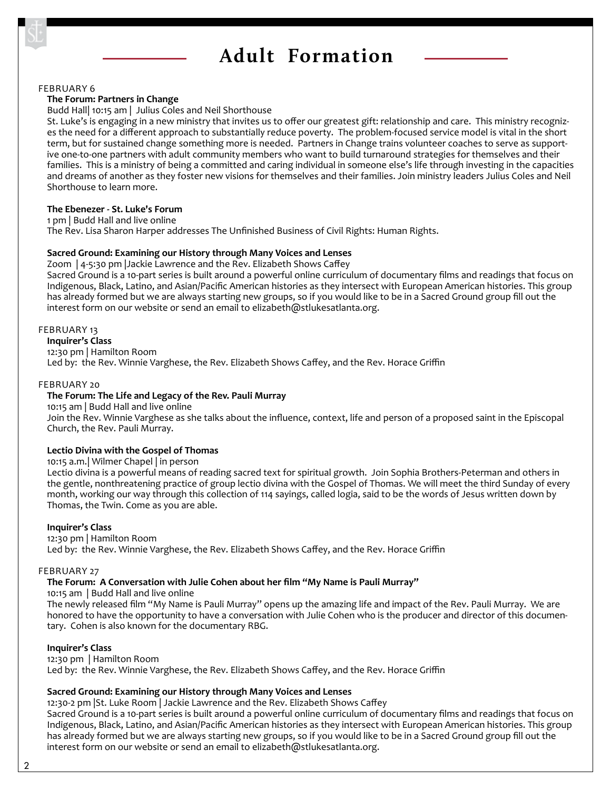## **Adult Formation**

FEBRUARY 6

#### **The Forum: Partners in Change**

#### Budd Hall| 10:15 am | Julius Coles and Neil Shorthouse

St. Luke's is engaging in a new ministry that invites us to offer our greatest gift: relationship and care. This ministry recognizes the need for a different approach to substantially reduce poverty. The problem-focused service model is vital in the short term, but for sustained change something more is needed. Partners in Change trains volunteer coaches to serve as supportive one-to-one partners with adult community members who want to build turnaround strategies for themselves and their families. This is a ministry of being a committed and caring individual in someone else's life through investing in the capacities and dreams of another as they foster new visions for themselves and their families. Join ministry leaders Julius Coles and Neil Shorthouse to learn more.

## **The Ebenezer - St. Luke's Forum**

1 pm | Budd Hall and live online         The Rev. Lisa Sharon Harper addresses The Unfinished Business of Civil Rights: Human Rights.

## **Sacred Ground: Examining our History through Many Voices and Lenses**

Zoom | 4-5:30 pm |Jackie Lawrence and the Rev. Elizabeth Shows Caffey

Sacred Ground is a 10-part series is built around a powerful online curriculum of documentary films and readings that focus on Indigenous, Black, Latino, and Asian/Pacific American histories as they intersect with European American histories. This group has already formed but we are always starting new groups, so if you would like to be in a Sacred Ground group fill out the interest form on our website or send an email to elizabeth@stlukesatlanta.org.

## FEBRUARY 13

## **Inquirer's Class**

12:30 pm | Hamilton Room

Led by: the Rev. Winnie Varghese, the Rev. Elizabeth Shows Caffey, and the Rev. Horace Griffin

#### FEBRUARY 20

## **The Forum: The Life and Legacy of the Rev. Pauli Murray**

10:15 am | Budd Hall and live online

Join the Rev. Winnie Varghese as she talks about the influence, context, life and person of a proposed saint in the Episcopal Church, the Rev. Pauli Murray.

## **Lectio Divina with the Gospel of Thomas**

10:15 a.m.| Wilmer Chapel | in person

Lectio divina is a powerful means of reading sacred text for spiritual growth. Join Sophia Brothers-Peterman and others in the gentle, nonthreatening practice of group lectio divina with the Gospel of Thomas. We will meet the third Sunday of every month, working our way through this collection of 114 sayings, called logia, said to be the words of Jesus written down by Thomas, the Twin. Come as you are able.

## **Inquirer's Class**

12:30 pm | Hamilton Room Led by: the Rev. Winnie Varghese, the Rev. Elizabeth Shows Caffey, and the Rev. Horace Griffin

#### FEBRUARY 27

## **The Forum: A Conversation with Julie Cohen about her film "My Name is Pauli Murray"**

10:15 am | Budd Hall and live online

The newly released film "My Name is Pauli Murray" opens up the amazing life and impact of the Rev. Pauli Murray. We are honored to have the opportunity to have a conversation with Julie Cohen who is the producer and director of this documentary. Cohen is also known for the documentary RBG.

## **Inquirer's Class**

12:30 pm | Hamilton Room Led by: the Rev. Winnie Varghese, the Rev. Elizabeth Shows Caffey, and the Rev. Horace Griffin

## **Sacred Ground: Examining our History through Many Voices and Lenses**

12:30-2 pm |St. Luke Room | Jackie Lawrence and the Rev. Elizabeth Shows Caffey Sacred Ground is a 10-part series is built around a powerful online curriculum of documentary films and readings that focus on Indigenous, Black, Latino, and Asian/Pacific American histories as they intersect with European American histories. This group has already formed but we are always starting new groups, so if you would like to be in a Sacred Ground group fill out the interest form on our website or send an email to elizabeth@stlukesatlanta.org.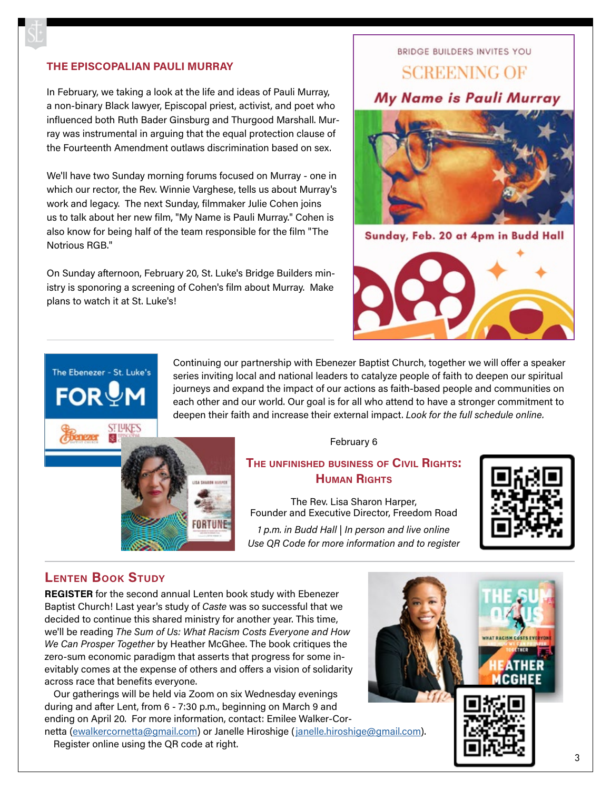## **THE EPISCOPALIAN PAULI MURRAY**

In February, we taking a look at the life and ideas of Pauli Murray, a non-binary Black lawyer, Episcopal priest, activist, and poet who influenced both Ruth Bader Ginsburg and Thurgood Marshall. Murray was instrumental in arguing that the equal protection clause of the Fourteenth Amendment outlaws discrimination based on sex.

We'll have two Sunday morning forums focused on Murray - one in which our rector, the Rev. Winnie Varghese, tells us about Murray's work and legacy. The next Sunday, filmmaker Julie Cohen joins us to talk about her new film, "My Name is Pauli Murray." Cohen is also know for being half of the team responsible for the film "The Notrious RGB."

On Sunday afternoon, February 20, St. Luke's Bridge Builders ministry is sponoring a screening of Cohen's film about Murray. Make plans to watch it at St. Luke's!

## BRIDGE BUILDERS INVITES YOU

## **SCREENING OF**

## My Name is Pauli Murray



Sunday, Feb. 20 at 4pm in Budd Hall



Continuing our partnership with Ebenezer Baptist Church, together we will offer a speaker series inviting local and national leaders to catalyze people of faith to deepen our spiritual journeys and expand the impact of our actions as faith-based people and communities on each other and our world. Our goal is for all who attend to have a stronger commitment to deepen their faith and increase their external impact. *Look for the full schedule online.*



## **The unfinished business of Civil Rights: Human Rights**

The Rev. Lisa Sharon Harper, Founder and Executive Director, Freedom Road

*1 p.m. in Budd Hall | In person and live online Use QR Code for more information and to register*



## **Lenten Book Study**

The Ebenezer - St. Luke's

**FOR MM** 

**STIYKES** 

**REGISTER** for the second annual Lenten book study with Ebenezer Baptist Church! Last year's study of *Caste* was so successful that we decided to continue this shared ministry for another year. This time, we'll be reading *The Sum of Us: What Racism Costs Everyone and How We Can Prosper Together* by Heather McGhee. The book critiques the zero-sum economic paradigm that asserts that progress for some inevitably comes at the expense of others and offers a vision of solidarity across race that benefits everyone.

SA SHARIN HARPER

FORTUNE

Our gatherings will be held via Zoom on six Wednesday evenings during and after Lent, from 6 - 7:30 p.m., beginning on March 9 and ending on April 20. For more information, contact: Emilee Walker-Cornetta [\(ewalkercornetta@gmail.com\)](mailto:ewalkercornetta%40gmail.com?subject=Ebenezer-St.%20Luke%27s%20Book%20Study) or Janelle Hiroshige ([janelle.hiroshige@gmail.com\)](mailto:janelle.hiroshige%40gmail.com?subject=Ebenezer-St.%20Luke%27s%20Book%20Study).

Register online using the QR code at right.

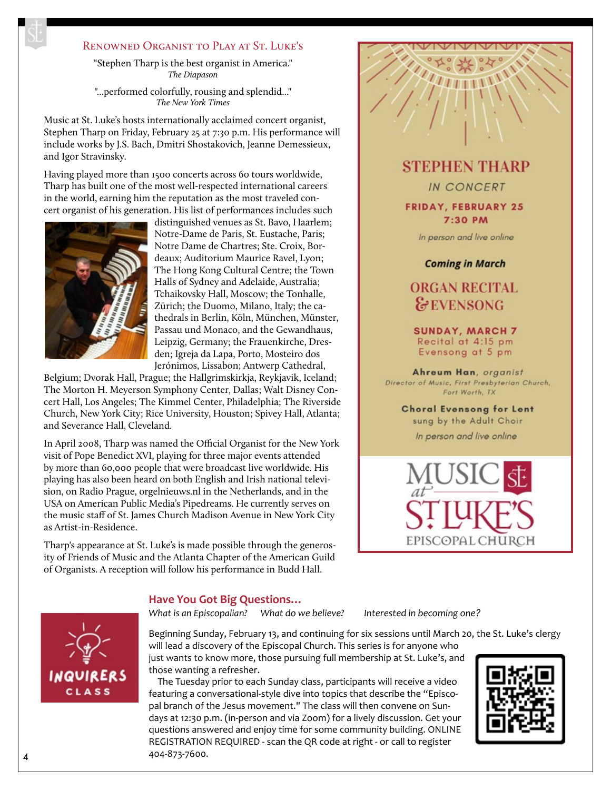## RENOWNED ORGANIST TO PLAY AT ST. LUKE'S

"Stephen Tharp is the best organist in America." *The Diapason*

"...performed colorfully, rousing and splendid..." *The New York Times*

Music at St. Luke's hosts internationally acclaimed concert organist, Stephen Tharp on Friday, February 25 at 7:30 p.m. His performance will include works by J.S. Bach, Dmitri Shostakovich, Jeanne Demessieux, and Igor Stravinsky.

Having played more than 1500 concerts across 60 tours worldwide, Tharp has built one of the most well-respected international careers in the world, earning him the reputation as the most traveled concert organist of his generation. His list of performances includes such



distinguished venues as St. Bavo, Haarlem; Notre-Dame de Paris, St. Eustache, Paris; Notre Dame de Chartres; Ste. Croix, Bordeaux; Auditorium Maurice Ravel, Lyon; The Hong Kong Cultural Centre; the Town Halls of Sydney and Adelaide, Australia; Tchaikovsky Hall, Moscow; the Tonhalle, Zürich; the Duomo, Milano, Italy; the cathedrals in Berlin, Köln, München, Münster, Passau und Monaco, and the Gewandhaus, Leipzig, Germany; the Frauenkirche, Dresden; Igreja da Lapa, Porto, Mosteiro dos Jerónimos, Lissabon; Antwerp Cathedral,

Belgium; Dvorak Hall, Prague; the Hallgrimskirkja, Reykjavik, Iceland; The Morton H. Meyerson Symphony Center, Dallas; Walt Disney Concert Hall, Los Angeles; The Kimmel Center, Philadelphia; The Riverside Church, New York City; Rice University, Houston; Spivey Hall, Atlanta; and Severance Hall, Cleveland.

In April 2008, Tharp was named the Official Organist for the New York visit of Pope Benedict XVI, playing for three major events attended by more than 60,000 people that were broadcast live worldwide. His playing has also been heard on both English and Irish national television, on Radio Prague, orgelnieuws.nl in the Netherlands, and in the USA on American Public Media's Pipedreams. He currently serves on the music staff of St. James Church Madison Avenue in New York City as Artist-in-Residence.

Tharp's appearance at St. Luke's is made possible through the generosity of Friends of Music and the Atlanta Chapter of the American Guild of Organists. A reception will follow his performance in Budd Hall.

**STEPHEN THARP** 

**IN CONCERT** 

**FRIDAY, FEBRUARY 25** 7:30 PM

In person and live online

**Coming in March** 

## **ORGAN RECITAL** &EVENSONG

**SUNDAY, MARCH 7** Recital at 4:15 pm Evensong at 5 pm

Ahreum Han, organist Director of Music, First Presbyterian Church, Fort Worth, TX

**Choral Evensong for Lent** sung by the Adult Choir In person and live online





*What is an Episcopalian? What do we believe? Interested in becoming one?*

Beginning Sunday, February 13, and continuing for six sessions until March 20, the St. Luke's clergy will lead a discovery of the Episcopal Church. This series is for anyone who



just wants to know more, those pursuing full membership at St. Luke's, and those wanting a refresher.

The Tuesday prior to each Sunday class, participants will receive a video featuring a conversational-style dive into topics that describe the "Episcopal branch of the Jesus movement." The class will then convene on Sundays at 12:30 p.m. (in-person and via Zoom) for a lively discussion. Get your questions answered and enjoy time for some community building. ONLINE REGISTRATION REQUIRED - scan the QR code at right - or call to register 404-873-7600. <sup>4</sup>

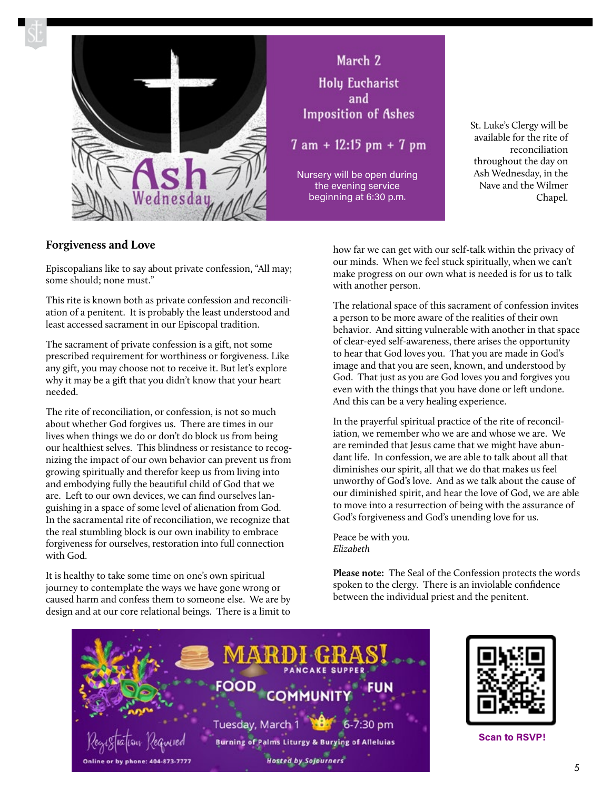

## March 2 **Holy Eucharist** and **Imposition of Ashes**

 $7 am + 12:15 pm + 7 pm$ 

Nursery will be open during the evening service beginning at 6:30 p.m.

St. Luke's Clergy will be available for the rite of reconciliation throughout the day on Ash Wednesday, in the Nave and the Wilmer Chapel.

## **Forgiveness and Love**

Episcopalians like to say about private confession, "All may; some should; none must."

This rite is known both as private confession and reconciliation of a penitent. It is probably the least understood and least accessed sacrament in our Episcopal tradition.

The sacrament of private confession is a gift, not some prescribed requirement for worthiness or forgiveness. Like any gift, you may choose not to receive it. But let's explore why it may be a gift that you didn't know that your heart needed.

The rite of reconciliation, or confession, is not so much about whether God forgives us. There are times in our lives when things we do or don't do block us from being our healthiest selves. This blindness or resistance to recognizing the impact of our own behavior can prevent us from growing spiritually and therefor keep us from living into and embodying fully the beautiful child of God that we are. Left to our own devices, we can find ourselves languishing in a space of some level of alienation from God. In the sacramental rite of reconciliation, we recognize that the real stumbling block is our own inability to embrace forgiveness for ourselves, restoration into full connection with God.

It is healthy to take some time on one's own spiritual journey to contemplate the ways we have gone wrong or caused harm and confess them to someone else. We are by design and at our core relational beings. There is a limit to

how far we can get with our self-talk within the privacy of our minds. When we feel stuck spiritually, when we can't make progress on our own what is needed is for us to talk with another person.

The relational space of this sacrament of confession invites a person to be more aware of the realities of their own behavior. And sitting vulnerable with another in that space of clear-eyed self-awareness, there arises the opportunity to hear that God loves you. That you are made in God's image and that you are seen, known, and understood by God. That just as you are God loves you and forgives you even with the things that you have done or left undone. And this can be a very healing experience.

In the prayerful spiritual practice of the rite of reconciliation, we remember who we are and whose we are. We are reminded that Jesus came that we might have abundant life. In confession, we are able to talk about all that diminishes our spirit, all that we do that makes us feel unworthy of God's love. And as we talk about the cause of our diminished spirit, and hear the love of God, we are able to move into a resurrection of being with the assurance of God's forgiveness and God's unending love for us.

Peace be with you. *Elizabeth*

**Please note:** The Seal of the Confession protects the words spoken to the clergy. There is an inviolable confidence between the individual priest and the penitent.





**Scan to RSVP!**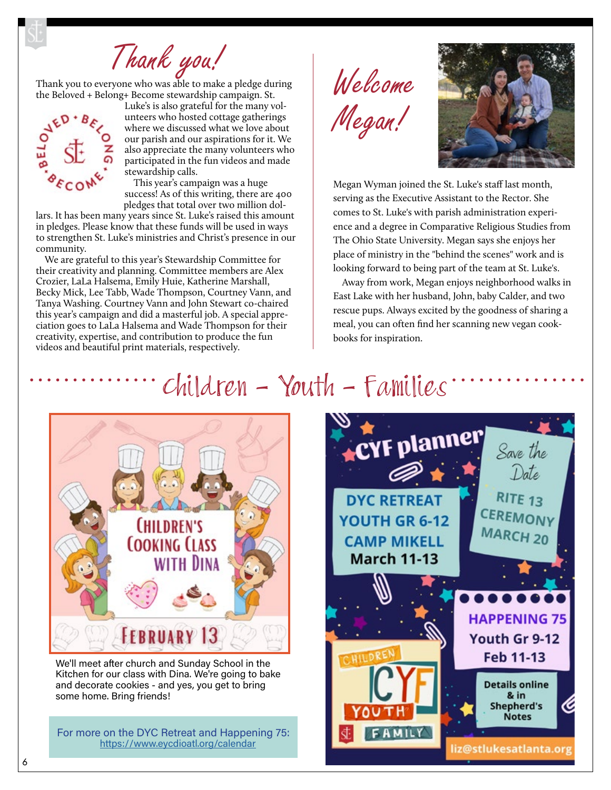Thank you!<br>ryone who was able to make a pledge during Welcome

Thank you to everyone who was able to make a pledge during the Beloved + Belong+ Become stewardship campaign. St.



Luke's is also grateful for the many volunteers who hosted cottage gatherings where we discussed what we love about our parish and our aspirations for it. We also appreciate the many volunteers who participated in the fun videos and made stewardship calls.

This year's campaign was a huge success! As of this writing, there are 400 pledges that total over two million dol-

lars. It has been many years since St. Luke's raised this amount in pledges. Please know that these funds will be used in ways to strengthen St. Luke's ministries and Christ's presence in our community.

We are grateful to this year's Stewardship Committee for their creativity and planning. Committee members are Alex Crozier, LaLa Halsema, Emily Huie, Katherine Marshall, Becky Mick, Lee Tabb, Wade Thompson, Courtney Vann, and Tanya Washing. Courtney Vann and John Stewart co-chaired this year's campaign and did a masterful job. A special appreciation goes to LaLa Halsema and Wade Thompson for their creativity, expertise, and contribution to produce the fun videos and beautiful print materials, respectively.

Megan!



Megan Wyman joined the St. Luke's staff last month, serving as the Executive Assistant to the Rector. She comes to St. Luke's with parish administration experience and a degree in Comparative Religious Studies from The Ohio State University. Megan says she enjoys her place of ministry in the "behind the scenes" work and is looking forward to being part of the team at St. Luke's.

Away from work, Megan enjoys neighborhood walks in East Lake with her husband, John, baby Calder, and two rescue pups. Always excited by the goodness of sharing a meal, you can often find her scanning new vegan cookbooks for inspiration.

# Children - Youth - Families



We'll meet after church and Sunday School in the Kitchen for our class with Dina. We're going to bake and decorate cookies - and yes, you get to bring some home. Bring friends!

For more on the DYC Retreat and Happening 75: <https://www.eycdioatl.org/calendar>

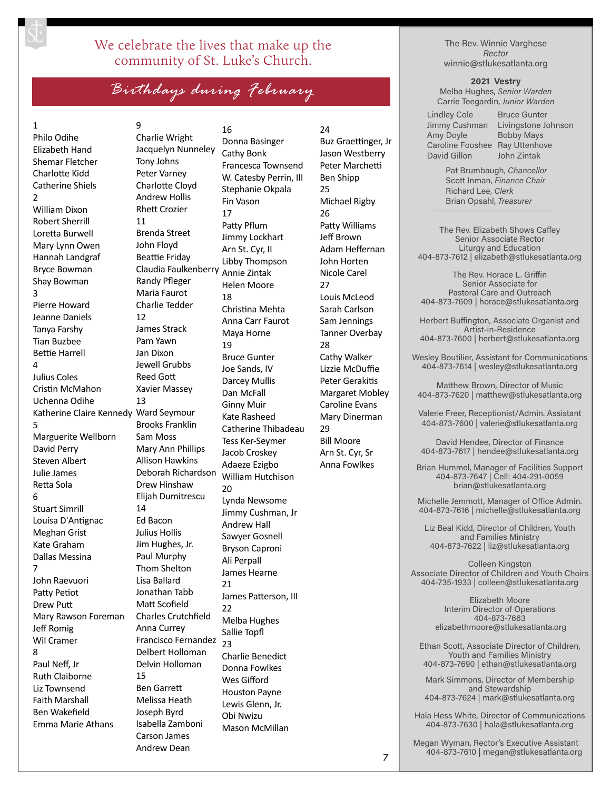## We celebrate the lives that make up the community of St. Luke's Church.

*Birthdays during February*

## 1

Philo Odihe Elizabeth Hand Shemar Fletcher Charlotte Kidd Catherine Shiels 2 William Dixon Robert Sherrill Loretta Burwell Mary Lynn Owen Hannah Landgraf Bryce Bowman Shay Bowman 3 Pierre Howard Jeanne Daniels Tanya Farshy Tian Buzbee Bettie Harrell  $\overline{A}$ Julius Coles Cristin McMahon Uchenna Odihe Katherine Claire Kennedy Ward Seymour 5 Marguerite Wellborn David Perry Steven Albert Julie James Retta Sola 6 Stuart Simrill Louisa D'Antignac Meghan Grist Kate Graham Dallas Messina 7 John Raevuori Patty Petiot Drew Putt Mary Rawson Foreman Jeff Romig Wil Cramer 8 Paul Neff, Jr Ruth Claiborne Liz Townsend Faith Marshall Ben Wakefield Emma Marie Athans

9 Charlie Wright Jacquelyn Nunneley Tony Johns Peter Varney Charlotte Cloyd Andrew Hollis Rhett Crozier 11 Brenda Street John Floyd Beattie Friday Claudia Faulkenberry Randy Pfleger Maria Faurot Charlie Tedder 12 James Strack Pam Yawn Jan Dixon Jewell Grubbs Reed Gott Xavier Massey 13 Brooks Franklin Sam Moss Mary Ann Phillips Allison Hawkins Deborah Richardson Drew Hinshaw Elijah Dumitrescu 14 Ed Bacon Julius Hollis Jim Hughes, Jr. Paul Murphy Thom Shelton Lisa Ballard Jonathan Tabb Matt Scofield Charles Crutchfield Anna Currey Francisco Fernandez Delbert Holloman Delvin Holloman 15 Ben Garrett Melissa Heath Joseph Byrd Isabella Zamboni Carson James Andrew Dean

16 Donna Basinger Cathy Bonk Francesca Townsend W. Catesby Perrin, III Stephanie Okpala Fin Vason 17 Patty Pflum Jimmy Lockhart Arn St. Cyr, II Libby Thompson Annie Zintak Helen Moore 18 Christina Mehta Anna Carr Faurot Maya Horne 19 Bruce Gunter Joe Sands, IV Darcey Mullis Dan McFall Ginny Muir Kate Rasheed Catherine Thibadeau Tess Ker-Seymer Jacob Croskey Adaeze Ezigbo William Hutchison 20 Lynda Newsome Jimmy Cushman, Jr Andrew Hall Sawyer Gosnell Bryson Caproni Ali Perpall James Hearne 21 James Patterson, III 22 Melba Hughes Sallie Topfl 23 Charlie Benedict Donna Fowlkes Wes Gifford Houston Payne Lewis Glenn, Jr. Obi Nwizu Mason McMillan

24 Buz Graettinger, Jr Jason Westberry Peter Marchetti Ben Shipp 25 Michael Rigby 26 Patty Williams Jeff Brown Adam Heffernan John Horten Nicole Carel 27 Louis McLeod Sarah Carlson Sam Jennings Tanner Overbay 28 Cathy Walker Lizzie McDuffie Peter Gerakitis Margaret Mobley Caroline Evans Mary Dinerman 29 Bill Moore Arn St. Cyr, Sr Anna Fowlkes

The Rev. Winnie Varghese *Rector* winnie@stlukesatlanta.org

**2021 Vestry** 

Melba Hughes, *Senior Warden* Carrie Teegardin, *Junior Warden*

Lindley Cole Jimmy Cushman Amy Doyle Caroline Fooshee Ray Uttenhove David Gillon

Bruce Gunter Livingstone Johnson Bobby Mays John Zintak

Pat Brumbaugh, *Chancellor* Scott Inman, *Finance Chair* Richard Lee, *Clerk* Brian Opsahl, *Treasurer*

The Rev. Elizabeth Shows Caffey Senior Associate Rector Liturgy and Education 404-873-7612 | elizabeth@stlukesatlanta.org

The Rev. Horace L. Griffin Senior Associate for Pastoral Care and Outreach 404-873-7609 | horace@stlukesatlanta.org

Herbert Buffington, Associate Organist and Artist-in-Residence 404-873-7600 | herbert@stlukesatlanta.org

Wesley Boutilier, Assistant for Communications 404-873-7614 | wesley@stlukesatlanta.org

Matthew Brown, Director of Music 404-873-7620 | matthew@stlukesatlanta.org

Valerie Freer, Receptionist/Admin. Assistant 404-873-7600 | valerie@stlukesatlanta.org

David Hendee, Director of Finance 404-873-7617 | hendee@stlukesatlanta.org

Brian Hummel, Manager of Facilities Support 404-873-7647 | Cell: 404-291-0059 brian@stlukesatlanta.org

Michelle Jemmott, Manager of Office Admin. 404-873-7616 | michelle@stlukesatlanta.org

Liz Beal Kidd, Director of Children, Youth and Families Ministry 404-873-7622 | liz@stlukesatlanta.org

Colleen Kingston Associate Director of Children and Youth Choirs 404-735-1933 | colleen@stlukesatlanta.org

> Elizabeth Moore Interim Director of Operations 404-873-7663 elizabethmoore@stlukesatlanta.org

Ethan Scott, Associate Director of Children, Youth and Families Ministry 404-873-7690 | ethan@stlukesatlanta.org

Mark Simmons, Director of Membership and Stewardship 404-873-7624 | mark@stlukesatlanta.org

Hala Hess White, Director of Communications 404-873-7630 | hala@stlukesatlanta.org

Megan Wyman, Rector's Executive Assistant 404-873-7610 | megan@stlukesatlanta.org